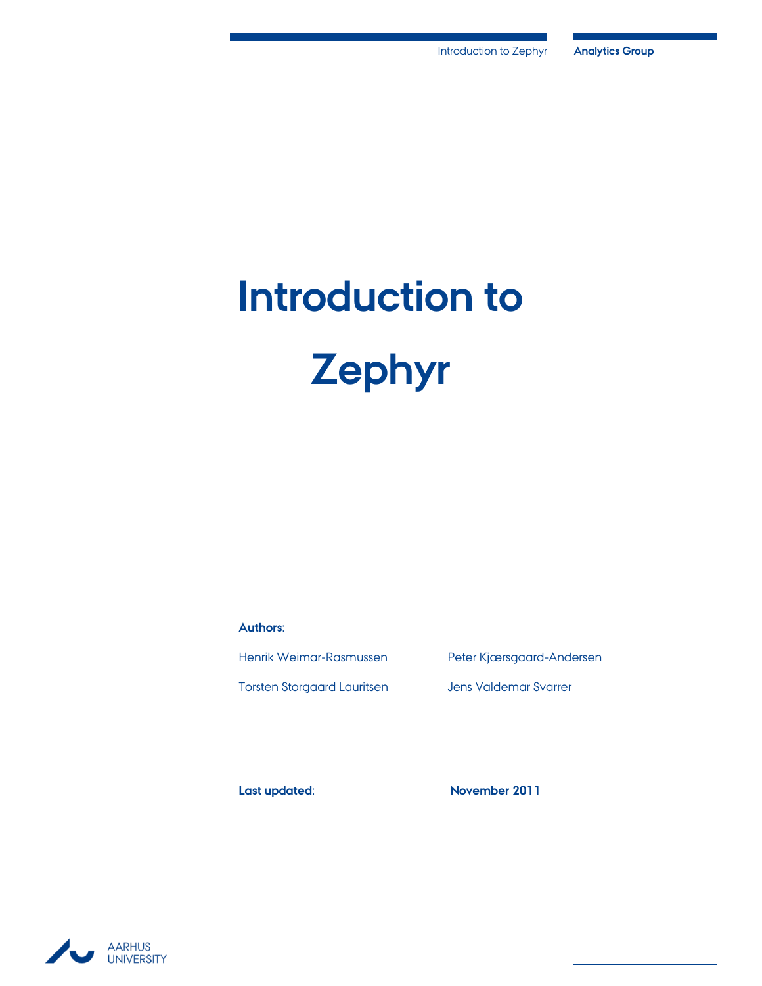# **Introduction to Zephyr**

**Authors:**

Torsten Storgaard Lauritsen Jens Valdemar Svarrer

Henrik Weimar-Rasmussen Peter Kjærsgaard-Andersen

**Last updated: November 2011**

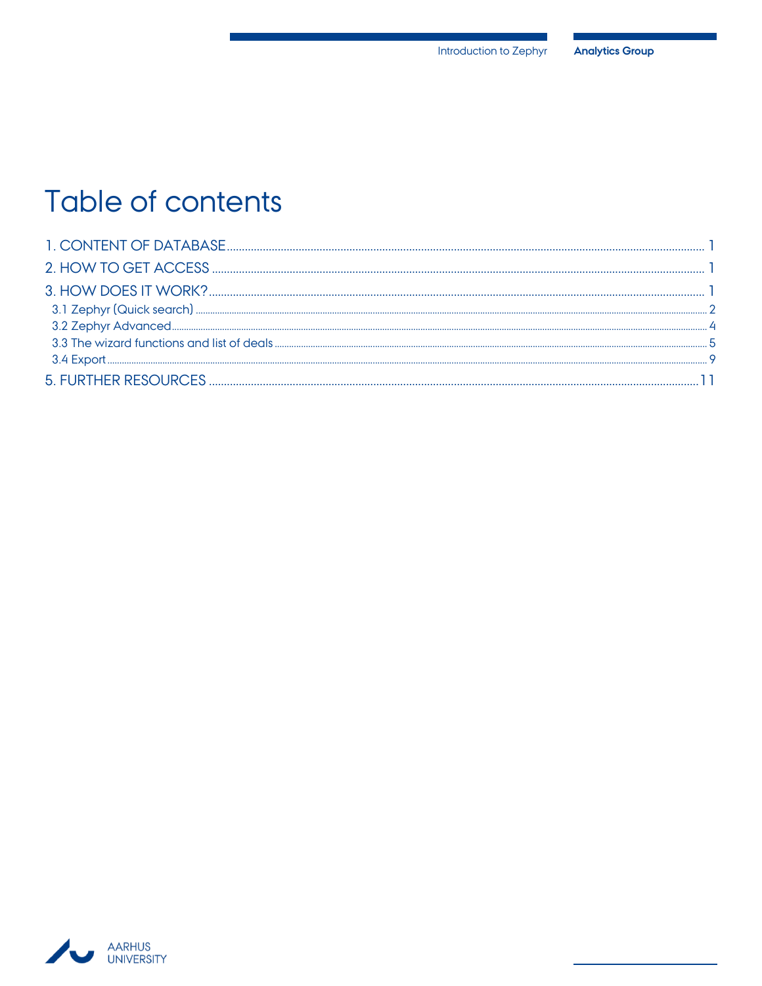## Table of contents

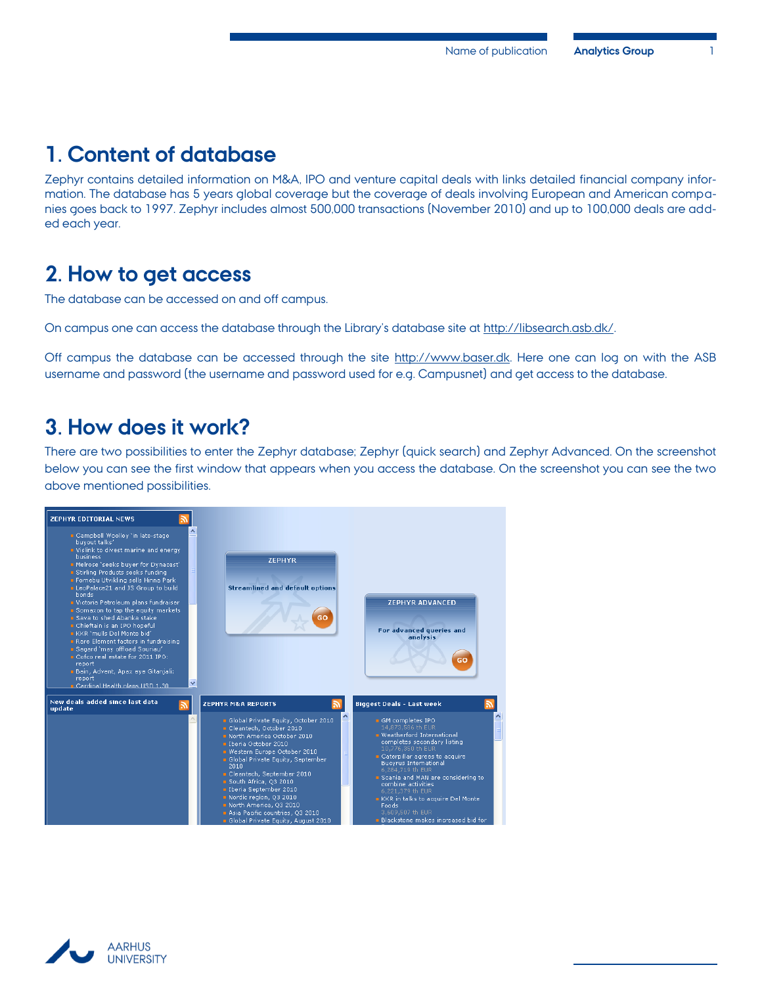## <span id="page-2-0"></span>**1. Content of database**

Zephyr contains detailed information on M&A, IPO and venture capital deals with links detailed financial company information. The database has 5 years global coverage but the coverage of deals involving European and American companies goes back to 1997. Zephyr includes almost 500,000 transactions (November 2010) and up to 100,000 deals are added each year.

## <span id="page-2-1"></span>**2. How to get access**

The database can be accessed on and off campus.

On campus one can access the database through the Library's database site at http://libsearch.asb.dk/.

Off campus the database can be accessed through the site [http://www.baser.dk.](http://www.baser.dk/) Here one can log on with the ASB username and password (the username and password used for e.g. Campusnet) and get access to the database.

### <span id="page-2-2"></span>**3. How does it work?**

There are two possibilities to enter the Zephyr database; Zephyr (quick search) and Zephyr Advanced. On the screenshot below you can see the first window that appears when you access the database. On the screenshot you can see the two above mentioned possibilities.



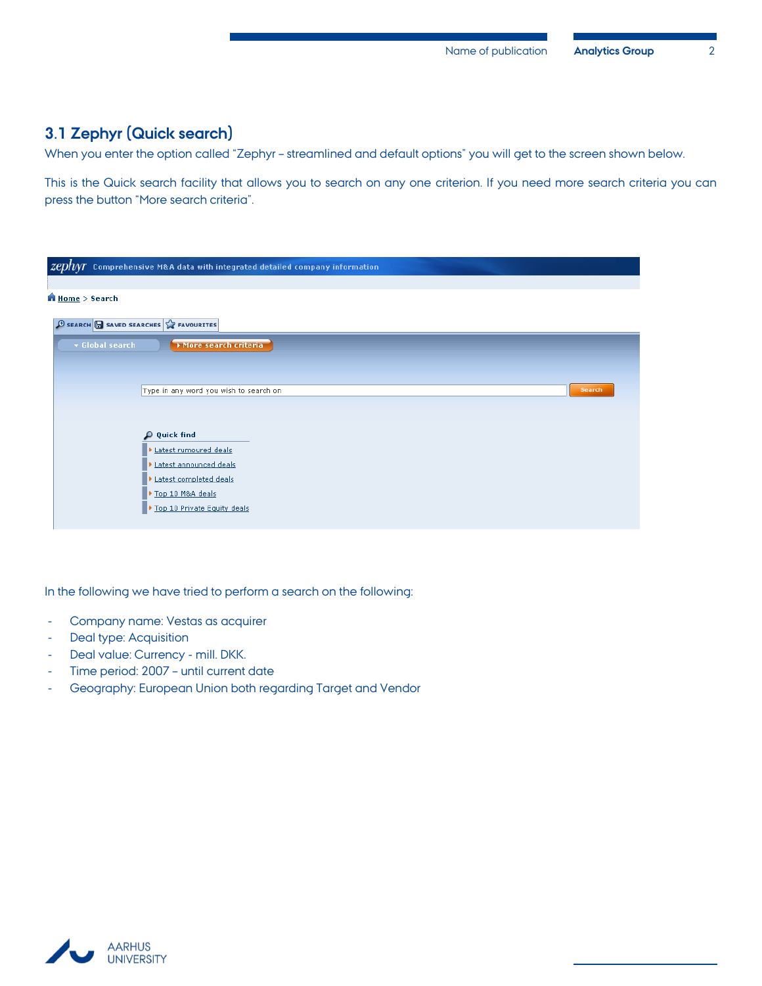#### <span id="page-3-0"></span>**3.1 Zephyr (Quick search)**

When you enter the option called "Zephyr – streamlined and default options" you will get to the screen shown below.

This is the Quick search facility that allows you to search on any one criterion. If you need more search criteria you can press the button "More search criteria".

| $\emph{zephyr}$ Comprehensive M&A data with integrated detailed company information |
|-------------------------------------------------------------------------------------|
|                                                                                     |
| <b>Home</b> > Search                                                                |
| $\bigoplus$ SEARCH $\bigoplus$ SAVED SEARCHES $\bigotimes$ FAVOURITES               |
| v Global search<br>More search criteria                                             |
|                                                                                     |
| Type in any word you wish to search on<br>Search                                    |
|                                                                                     |
| <b>Quick find</b><br>$\Omega$<br>Latest rumoured deals                              |
| Latest announced deals                                                              |
| Latest completed deals                                                              |
| Top 10 M&A deals<br>Top 10 Private Equity deals                                     |
|                                                                                     |

In the following we have tried to perform a search on the following:

- Company name: Vestas as acquirer
- Deal type: Acquisition
- Deal value: Currency mill. DKK.
- Time period: 2007 until current date
- Geography: European Union both regarding Target and Vendor

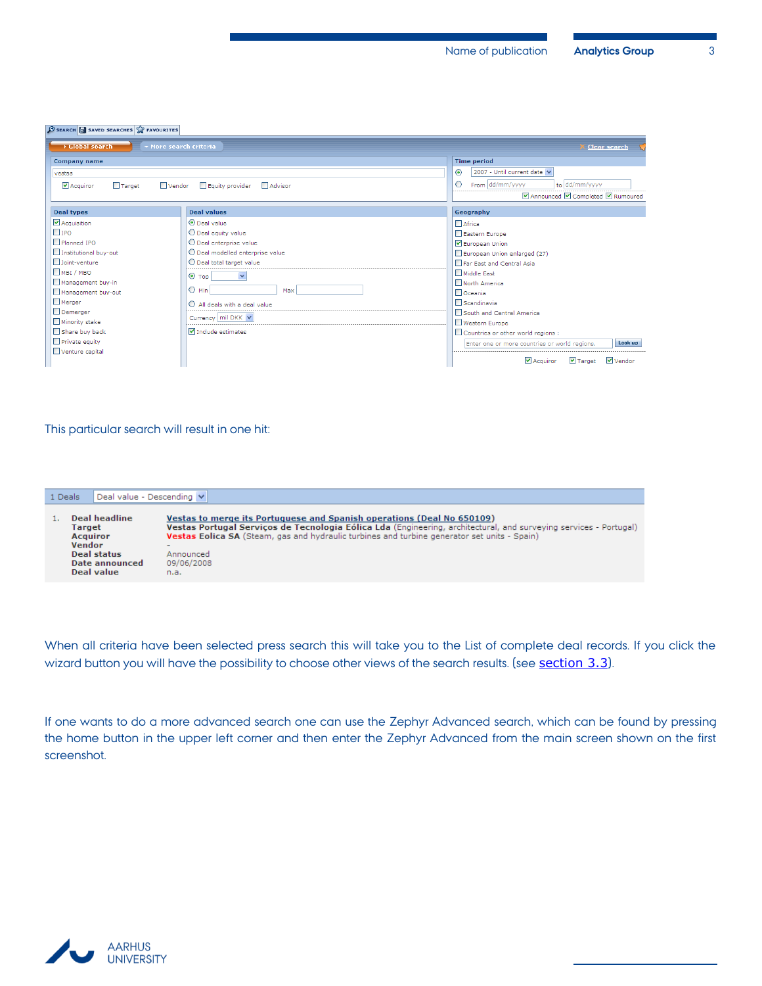#### $\bigoplus$  SEARCH  $\bigoplus$  SAVED SEARCHES  $\bigotimes$  FAVOURITES

| <b>E</b> Global search<br>▼ More search criteria |                                    | <b>Clear search</b>                                                      |  |  |  |  |  |
|--------------------------------------------------|------------------------------------|--------------------------------------------------------------------------|--|--|--|--|--|
| <b>Company name</b>                              |                                    | <b>Time period</b>                                                       |  |  |  |  |  |
| vestas                                           |                                    | 2007 - Until current date<br>$\odot$                                     |  |  |  |  |  |
| Acquiror<br>$\Box$ Target<br>$\Box$ Vendor       | <b>NAdvisor</b><br>Equity provider | From dd/mm/yyyy<br>to dd/mm/yyyy<br>$\circ$                              |  |  |  |  |  |
|                                                  |                                    | ■ Announced ■ Completed ■ Rumoured                                       |  |  |  |  |  |
| <b>Deal types</b>                                | <b>Deal values</b>                 | Geography                                                                |  |  |  |  |  |
| Acquisition                                      | <b>O</b> Deal value                | Africa                                                                   |  |  |  |  |  |
| $\Box$ IPO                                       | O Deal equity value                | Eastern Europe                                                           |  |  |  |  |  |
| <b>Planned IPO</b>                               | O Deal enterprise value            | European Union                                                           |  |  |  |  |  |
| Institutional buy-out                            | O Deal modelled enterprise value   | European Union enlarged (27)                                             |  |  |  |  |  |
| $\Box$ Joint-venture                             | O Deal total target value          | Far Fast and Central Asia                                                |  |  |  |  |  |
| MBI / MBO                                        | $\checkmark$<br>$\odot$ Top        | Middle East                                                              |  |  |  |  |  |
| Management buy-in                                |                                    | North America                                                            |  |  |  |  |  |
| Management buy-out                               | $\bigcirc$ Min<br>Max              | Oceania                                                                  |  |  |  |  |  |
| $\Box$ Merger                                    | All deals with a deal value        | Scandinavia                                                              |  |  |  |  |  |
| $\Box$ Demerger                                  | Currency mil DKK V                 | South and Central America                                                |  |  |  |  |  |
| Minority stake                                   |                                    | Western Europe                                                           |  |  |  |  |  |
| Share buy back                                   | $\nabla$ Include estimates         | Countries or other world regions :                                       |  |  |  |  |  |
| $\Box$ Private equity                            |                                    | Look up<br>Enter one or more countries or world regions.                 |  |  |  |  |  |
| Venture capital                                  |                                    | $\triangledown$ Acquirer<br>$\vee$ Vendor<br>$\blacktriangledown$ Target |  |  |  |  |  |

#### This particular search will result in one hit:

| 1 Deals                 | Deal value - Descending V                                                              |                                                                                                                                                                                                                                                                                                                                            |
|-------------------------|----------------------------------------------------------------------------------------|--------------------------------------------------------------------------------------------------------------------------------------------------------------------------------------------------------------------------------------------------------------------------------------------------------------------------------------------|
| Target<br><b>Vendor</b> | Deal headline<br><b>Acquiror</b><br><b>Deal status</b><br>Date announced<br>Deal value | Vestas to merge its Portuguese and Spanish operations (Deal No 650109)<br>Vestas Portugal Servicos de Tecnologia Eólica Lda (Engineering, architectural, and surveying services - Portugal)<br><b>Vestas Eolica SA</b> (Steam, gas and hydraulic turbines and turbine generator set units - Spain)<br>-<br>Announced<br>09/06/2008<br>n.a. |

When all criteria have been selected press search this will take you to the List of complete deal records. If you click the wizard button you will have the possibility to choose other views of the search results. (see **[section 3.3](#page-6-0)**).

If one wants to do a more advanced search one can use the Zephyr Advanced search, which can be found by pressing the home button in the upper left corner and then enter the Zephyr Advanced from the main screen shown on the first screenshot.

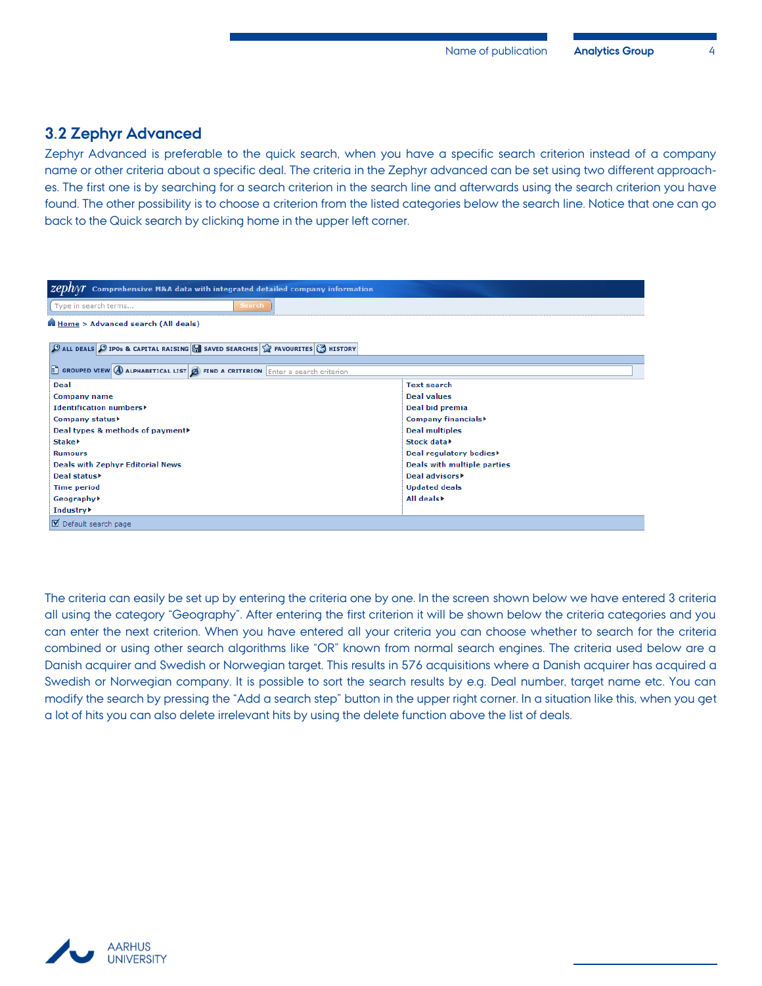#### <span id="page-5-0"></span>**3.2 Zephyr Advanced**

Zephyr Advanced is preferable to the quick search, when you have a specific search criterion instead of a company name or other criteria about a specific deal. The criteria in the Zephyr advanced can be set using two different approaches. The first one is by searching for a search criterion in the search line and afterwards using the search criterion you have found. The other possibility is to choose a criterion from the listed categories below the search line. Notice that one can go back to the Quick search by clicking home in the upper left corner.

| $\mathcal{Z}\ell\mathcal{D}N\mathcal{N}$ Comprehensive M&A data with integrated detailed company information                     |                                    |  |  |  |  |  |  |
|----------------------------------------------------------------------------------------------------------------------------------|------------------------------------|--|--|--|--|--|--|
| Type in search terms<br><b>Search</b>                                                                                            |                                    |  |  |  |  |  |  |
| Home > Advanced search (All deals)                                                                                               |                                    |  |  |  |  |  |  |
| $\bigoplus$ ALL DEALS $\bigoplus$ IPOs & CAPITAL RAISING $\bigoplus$ SAVED SEARCHES $\bigotimes$ FAVOURITES $\bigotimes$ HISTORY |                                    |  |  |  |  |  |  |
| $\Box$ GROUPED VIEW $\bigcirc$ ALPHABETICAL LIST $\bigcirc$ FIND A CRITERION $\Box$ Enter a search criterion                     |                                    |  |  |  |  |  |  |
| <b>Deal</b>                                                                                                                      | <b>Text search</b>                 |  |  |  |  |  |  |
| <b>Company name</b>                                                                                                              | <b>Deal values</b>                 |  |  |  |  |  |  |
| <b>Identification numbers&gt;</b>                                                                                                | Deal bid premia                    |  |  |  |  |  |  |
| Company status▶                                                                                                                  | Company financials <sup>&gt;</sup> |  |  |  |  |  |  |
| Deal types & methods of payment▶                                                                                                 | <b>Deal multiples</b>              |  |  |  |  |  |  |
| Stake <b>r</b>                                                                                                                   | Stock data>                        |  |  |  |  |  |  |
| <b>Rumours</b>                                                                                                                   | Deal regulatory bodies             |  |  |  |  |  |  |
| <b>Deals with Zephyr Editorial News</b><br>Deals with multiple parties                                                           |                                    |  |  |  |  |  |  |
| Deal advisors <sup>&gt;</sup><br>Deal status)                                                                                    |                                    |  |  |  |  |  |  |
| <b>Updated deals</b><br><b>Time period</b>                                                                                       |                                    |  |  |  |  |  |  |
| All deals<br>Geography▶                                                                                                          |                                    |  |  |  |  |  |  |
| Industry <b>&gt;</b>                                                                                                             |                                    |  |  |  |  |  |  |
| Default search page                                                                                                              |                                    |  |  |  |  |  |  |

The criteria can easily be set up by entering the criteria one by one. In the screen shown below we have entered 3 criteria all using the category "Geography". After entering the first criterion it will be shown below the criteria categories and you can enter the next criterion. When you have entered all your criteria you can choose whether to search for the criteria combined or using other search algorithms like "OR" known from normal search engines. The criteria used below are a Danish acquirer and Swedish or Norwegian target. This results in 576 acquisitions where a Danish acquirer has acquired a Swedish or Norwegian company. It is possible to sort the search results by e.g. Deal number, target name etc. You can modify the search by pressing the "Add a search step" button in the upper right corner. In a situation like this, when you get a lot of hits you can also delete irrelevant hits by using the delete function above the list of deals.

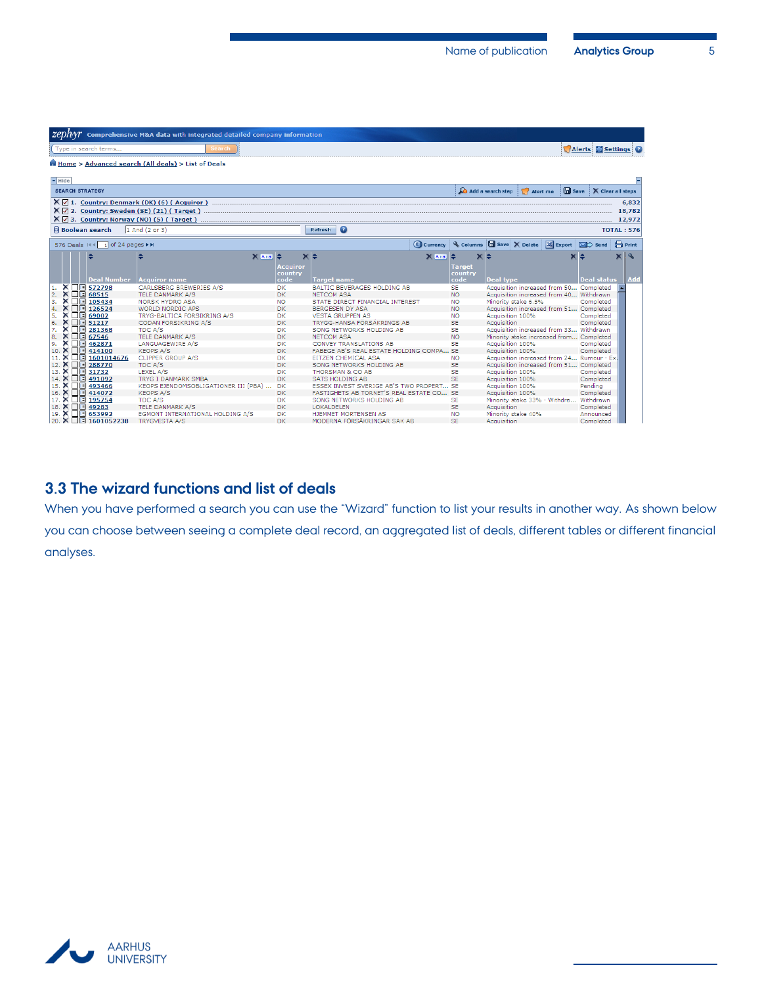|          |          |                |                                  | $\chi$ <i>ZCDnVY</i> Comprehensive M&A data with integrated detailed company information                                                                      |             |                           |                                                   |                     |                                                               |                   |                                            |                    |                        |                   |                           |
|----------|----------|----------------|----------------------------------|---------------------------------------------------------------------------------------------------------------------------------------------------------------|-------------|---------------------------|---------------------------------------------------|---------------------|---------------------------------------------------------------|-------------------|--------------------------------------------|--------------------|------------------------|-------------------|---------------------------|
|          |          |                | Type in search terms             | Search                                                                                                                                                        |             |                           |                                                   |                     |                                                               |                   |                                            |                    | Alerts Settings        |                   |                           |
|          |          |                |                                  | Home > Advanced search (All deals) > List of Deals                                                                                                            |             |                           |                                                   |                     |                                                               |                   |                                            |                    |                        |                   |                           |
| $-$ Hide |          |                |                                  |                                                                                                                                                               |             |                           |                                                   |                     |                                                               |                   |                                            |                    |                        |                   |                           |
|          |          |                | <b>SEARCH STRATEGY</b>           |                                                                                                                                                               |             |                           |                                                   |                     |                                                               | Add a search step | $\sqrt{ }$ Alert me                        |                    | Save X Clear all steps |                   |                           |
|          |          |                |                                  | $X \nabla$ 1. Country: Denmark (DK) (6) (Acquiror)<br>$X \nabla$ 2. Country: Sweden (SE) (21) (Target)<br>$X \boxtimes 3$ . Country: Norway (NO) (5) (Target) |             |                           |                                                   |                     |                                                               |                   |                                            |                    |                        |                   | 6,832<br>18,782<br>12,972 |
|          |          |                | <b>Boolean search</b>            | 1 And (2 or 3)                                                                                                                                                |             |                           | $\bullet$<br>Refresh                              |                     |                                                               |                   |                                            |                    |                        | <b>TOTAL: 576</b> |                           |
|          |          |                | 576 Deals III II of 24 pages ▶ M |                                                                                                                                                               |             |                           |                                                   | $\epsilon$ Currency | Columns <b>In</b> Save X Delete <b>X</b> Export <b>X</b> Send |                   |                                            |                    |                        | $\bigoplus$ Print |                           |
|          |          |                | ÷                                | ÷                                                                                                                                                             | $X$ $A$ $B$ | le<br>Acquiror<br>country | $\times$ $\approx$                                | $X[A \mid a]$       | $\times$ $\div$<br>Target<br>country                          |                   |                                            | $\times$ $\approx$ |                        |                   |                           |
| 1.       |          |                | <b>Deal Number</b><br>X □ 572798 | <b>Acquiror name</b><br>CARLSBERG BREWERIES A/S                                                                                                               |             | code<br><b>DK</b>         | <b>Target name</b><br>BALTIC BEVERAGES HOLDING AB |                     | code<br><b>SE</b>                                             | <b>Deal type</b>  | Acquisition increased from 50 Completed    |                    | <b>Deal status</b>     |                   | Add                       |
| 2.       | ×        |                | $\Box \boxdot$ 68515             | TELE DANMARK A/S                                                                                                                                              |             | DK.                       | <b>NETCOM ASA</b>                                 |                     | <b>NO</b>                                                     |                   | Acquisition increased from 40 Withdrawn    |                    |                        |                   |                           |
| 3.       | ×        | $\blacksquare$ | 105434                           | <b>NORSK HYDRO ASA</b>                                                                                                                                        |             | <b>NO</b>                 | STATE DIRECT FINANCIAL INTEREST                   |                     | <b>NO</b>                                                     |                   | Minority stake 6.5%                        |                    | Completed              |                   |                           |
| 4.       | ×        | 日間             | 126524                           | <b>WORLD NORDIC APS</b>                                                                                                                                       |             | DK.                       | <b>BERGESEN DY ASA</b>                            |                     | <b>NO</b>                                                     |                   | Acquisition increased from 51 Completed    |                    |                        |                   |                           |
| 5.       | ×        | 口圖             | 69002                            | TRYG-BALTICA FORSIKRING A/S                                                                                                                                   |             | DK                        | <b>VESTA GRUPPEN AS</b>                           |                     | <b>NO</b>                                                     | Acquisition 100%  |                                            |                    | Completed              |                   |                           |
| 6.       | ×        |                | $\Box$ 51217                     | <b>CODAN FORSIKRING A/S</b>                                                                                                                                   |             | DK.                       | TRYGG-HANSA FÖRSÄKRINGS AB                        |                     | <b>SE</b>                                                     | Acquisition       |                                            |                    | Completed              |                   |                           |
| 7.       | ×        | □■             | 281368                           | TDC A/S                                                                                                                                                       |             | DK.                       | SONG NETWORKS HOLDING AB                          |                     | <b>SE</b>                                                     |                   | Acquisition increased from 33 Withdrawn    |                    |                        |                   |                           |
| 8.       |          | □■■            | 67546                            | TELE DANMARK A/S                                                                                                                                              |             | DK.                       | <b>NETCOM ASA</b>                                 |                     | <b>NO</b>                                                     |                   | Minority stake increased from Completed    |                    |                        |                   |                           |
| 9.       | ×        |                | □■ 462871                        | LANGUAGEWIRE A/S                                                                                                                                              |             | <b>DK</b>                 | <b>CONVEY TRANSLATIONS AB</b>                     |                     | <b>SE</b>                                                     | Acquisition 100%  |                                            |                    | Completed              |                   |                           |
| 10       |          |                | X <b>□</b> 414100                | <b>KEOPS A/S</b>                                                                                                                                              |             | DK.                       | FABEGE AB'S REAL ESTATE HOLDING COMPA SE          |                     |                                                               | Acquisition 100%  |                                            |                    | Completed              |                   |                           |
|          | ×        |                | $\Box$ 1601014676                | <b>CLIPPER GROUP A/S</b>                                                                                                                                      |             | <b>DK</b>                 | <b>EITZEN CHEMICAL ASA</b>                        |                     | NO.                                                           |                   | Acquisition increased from 24 Rumour - Ex. |                    |                        |                   |                           |
| 12. X    |          | $\blacksquare$ | 288770                           | <b>TDC A/S</b>                                                                                                                                                |             | DK.                       | SONG NETWORKS HOLDING AB                          |                     | <b>SE</b>                                                     |                   | Acquisition increased from 51 Completed    |                    |                        |                   |                           |
| 13.      | ×        |                | □■ 31732                         | LEXEL A/S                                                                                                                                                     |             | <b>DK</b>                 | <b>THORSMAN &amp; CO AB</b>                       |                     | <b>SE</b>                                                     | Acquisition 100%  |                                            |                    | Completed              |                   |                           |
| 14. X    |          |                | □□ 491092                        | <b>TRYG I DANMARK SMBA</b>                                                                                                                                    |             | DK.                       | <b>SATS HOLDING AB</b>                            |                     | <b>SE</b>                                                     | Acquisition 100%  |                                            |                    | Completed              |                   |                           |
| 15.      | ×        |                | $\Box$ 493466                    | KEOPS EJENDOMSOBLIGATIONER III (PBA)                                                                                                                          |             | <b>DK</b>                 | ESSEX INVEST SVERIGE AB'S TWO PROPERT             |                     | <b>SE</b>                                                     | Acquisition 100%  |                                            |                    | Pendina                |                   |                           |
| 16       | $\times$ |                | $\Box$ 414072                    | <b>KEOPS A/S</b>                                                                                                                                              |             | DK.                       | FASTIGHETS AB TORNET'S REAL ESTATE CO SE          |                     |                                                               | Acquisition 100%  |                                            |                    | Completed              |                   |                           |
| 17.      | ×        |                | $\boxed{ }$ 195754               | TDC A/S                                                                                                                                                       |             | <b>DK</b>                 | SONG NETWORKS HOLDING AB                          |                     | <b>SE</b>                                                     |                   | Minority stake 33% - Withdra               |                    | Withdrawn              |                   |                           |
|          |          |                | 18. X <b>E</b> 49283             | TELE DANMARK A/S                                                                                                                                              |             | DK.                       | <b>LOKALDELEN</b>                                 |                     | <b>SE</b>                                                     | Acquisition       |                                            |                    | Completed              |                   |                           |
|          |          |                | 19. X <b>1 653992</b>            | EGMONT INTERNATIONAL HOLDING A/S                                                                                                                              |             | DK                        | HJEMMET MORTENSEN AS                              |                     | <b>NO</b>                                                     |                   | Minority stake 40%                         |                    | Announced              |                   |                           |
|          |          |                | 20. X □ 1601052238               | <b>TRYGVESTA A/S</b>                                                                                                                                          |             | DK                        | MODERNA FÖRSÄKRINGAR SAK AB                       |                     | <b>SE</b>                                                     | Acquisition       |                                            |                    | Completed              |                   |                           |

#### <span id="page-6-0"></span>**3.3 The wizard functions and list of deals**

When you have performed a search you can use the "Wizard" function to list your results in another way. As shown below you can choose between seeing a complete deal record, an aggregated list of deals, different tables or different financial analyses.

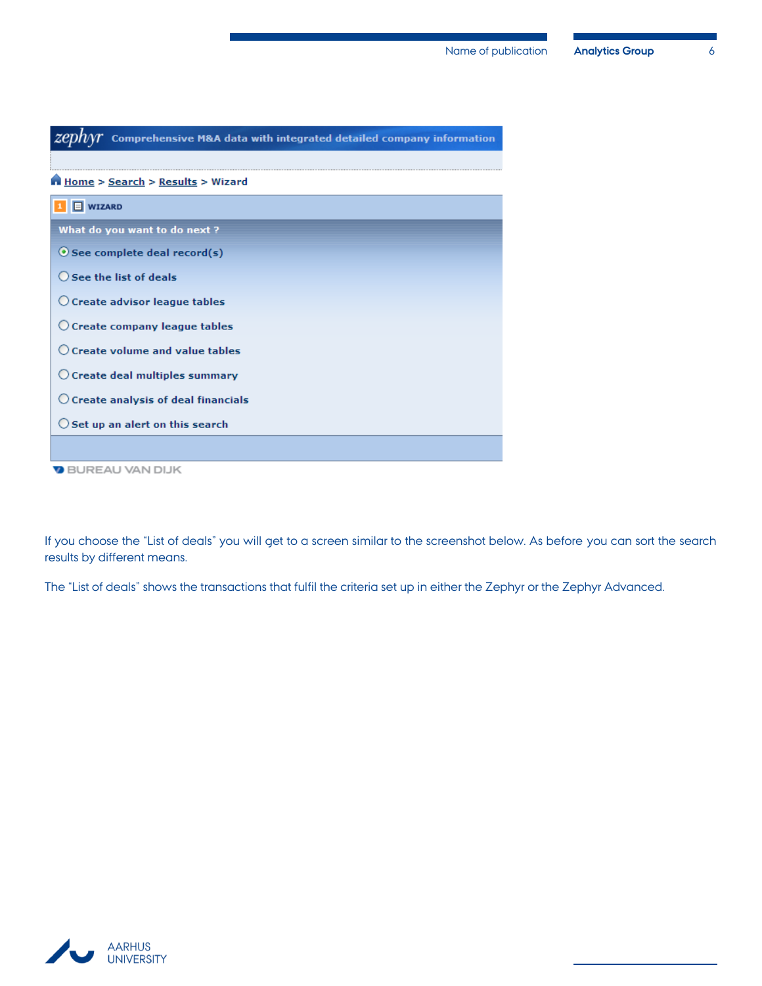

If you choose the "List of deals" you will get to a screen similar to the screenshot below. As before you can sort the search results by different means.

The "List of deals" shows the transactions that fulfil the criteria set up in either the Zephyr or the Zephyr Advanced.

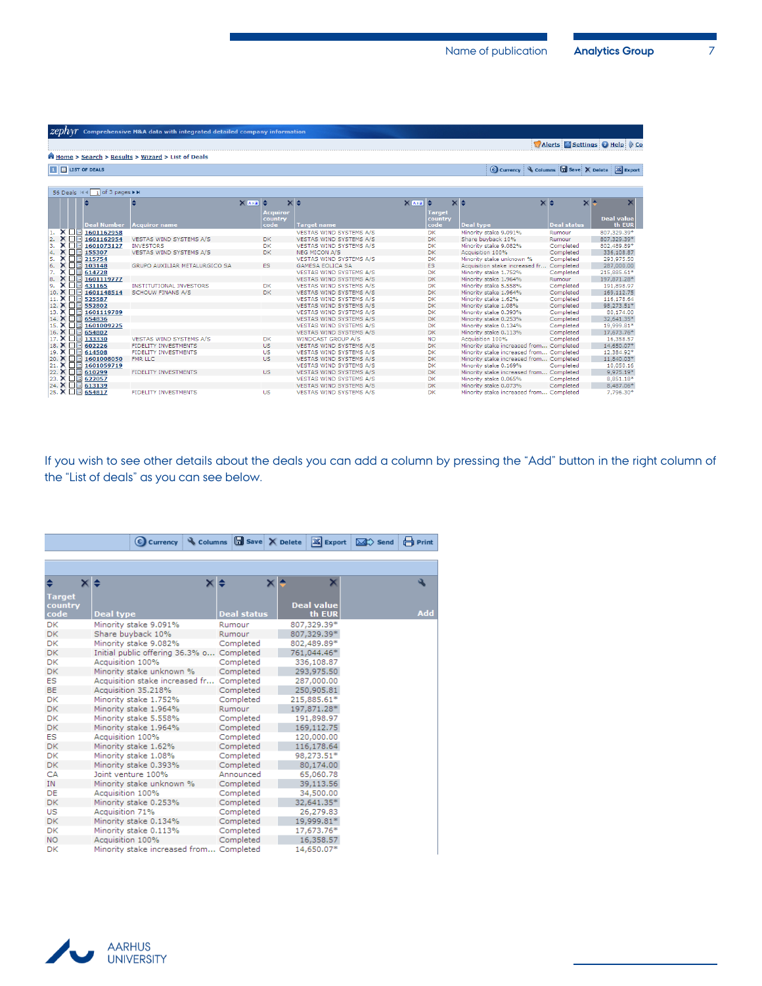|    |       |                                | <b>ZCDIVY</b> Comprehensive M&A data with integrated detailed company information |         |                            |                                |                                     |                          |                                          |                    |                                                             |
|----|-------|--------------------------------|-----------------------------------------------------------------------------------|---------|----------------------------|--------------------------------|-------------------------------------|--------------------------|------------------------------------------|--------------------|-------------------------------------------------------------|
|    |       |                                |                                                                                   |         |                            |                                |                                     |                          |                                          |                    | Alerts Settings Help (Co                                    |
|    |       |                                | Home > Search > Results > Wizard > List of Deals                                  |         |                            |                                |                                     |                          |                                          |                    |                                                             |
|    |       | <b>THE LIST OF DEALS</b>       |                                                                                   |         |                            |                                |                                     |                          |                                          |                    | C Currency & Columns <b>B</b> Save X Delete <b>X</b> Export |
|    |       |                                |                                                                                   |         |                            |                                |                                     |                          |                                          |                    |                                                             |
|    |       | 56 Deals H 4 1 of 3 pages ▶ ▶  |                                                                                   |         |                            |                                |                                     |                          |                                          |                    |                                                             |
|    |       |                                |                                                                                   | $X A =$ |                            | $\times$ $\div$                | $X$ $A$ $\rightarrow$ $\Rightarrow$ |                          | $\times$ $\div$                          | $\times$ $\div$    | $\times$ $\sim$                                             |
|    |       |                                |                                                                                   |         | <b>Acquiror</b><br>country |                                |                                     | <b>Target</b><br>country |                                          |                    | <b>Deal value</b>                                           |
|    |       | <b>Deal Number</b>             | <b>Acquiror name</b>                                                              |         | code                       | <b>Target name</b>             |                                     | code                     | <b>Deal type</b>                         | <b>Deal status</b> | th EUR                                                      |
|    |       | $X \Box 1601162958$            |                                                                                   |         |                            | <b>VESTAS WIND SYSTEMS A/S</b> |                                     | DK.                      | Minority stake 9.091%                    | Rumour             | 807,329.39*                                                 |
| 2. | ×     | $\Box$ 1601162954              | <b>VESTAS WIND SYSTEMS A/S</b>                                                    |         | <b>DK</b>                  | <b>VESTAS WIND SYSTEMS A/S</b> |                                     | <b>DK</b>                | Share buyback 10%                        | Rumour             | 807,329.39*                                                 |
| з. |       | $X \Box$ 1601073127            | <b>INVESTORS</b>                                                                  |         | <b>DK</b>                  | VESTAS WIND SYSTEMS A/S        |                                     | DK                       | Minority stake 9.082%                    | Completed          | 802,489.89*                                                 |
| 4. |       | $X \Box$ 155307                | VESTAS WIND SYSTEMS A/S                                                           |         | <b>DK</b>                  | <b>NEG MICON A/S</b>           |                                     | <b>DK</b>                | Acquisition 100%                         | Completed          | 336,108.87                                                  |
| 5. |       | $X \Box 215754$                |                                                                                   |         |                            | <b>VESTAS WIND SYSTEMS A/S</b> |                                     | DK                       | Minority stake unknown %                 | Completed          | 293,975.50                                                  |
| 6. |       | $X \Box 103148$                | GRUPO AUXILIAR METALURGICO SA                                                     |         | <b>ES</b>                  | <b>GAMESA EOLICA SA</b>        |                                     | <b>ES</b>                | Acquisition stake increased fr Completed |                    | 287,000.00                                                  |
|    |       | $X \Box$ 614728                |                                                                                   |         |                            | VESTAS WIND SYSTEMS A/S        |                                     | <b>DK</b>                | Minority stake 1.752%                    | Completed          | 215,885.61*                                                 |
| 8. | ×     | $\Box$ 1601119777              |                                                                                   |         |                            | <b>VESTAS WIND SYSTEMS A/S</b> |                                     | <b>DK</b>                | Minority stake 1.964%                    | Rumour             | 197,871.28*                                                 |
| 9. |       | $X \Box$ 431165                | <b>INSTITUTIONAL INVESTORS</b>                                                    |         | DK                         | <b>VESTAS WIND SYSTEMS A/S</b> |                                     | DK                       | Minority stake 5.558%                    | Completed          | 191,898.97                                                  |
|    | 10. X | $\Box$ 1601148514              | <b>SCHOUW FINANS A/S</b>                                                          |         | <b>DK</b>                  | <b>VESTAS WIND SYSTEMS A/S</b> |                                     | <b>DK</b>                | Minority stake 1.964%                    | Completed          | 169,112.75                                                  |
|    | 11. X | $\Box$ 525587                  |                                                                                   |         |                            | VESTAS WIND SYSTEMS A/S        |                                     | DK                       | Minority stake 1.62%                     | Completed          | 116,178.64                                                  |
|    |       | 12. X □ 552802                 |                                                                                   |         |                            | VESTAS WIND SYSTEMS A/S        |                                     | <b>DK</b>                | Minority stake 1.08%                     | Completed          | 98,273.51*                                                  |
|    |       | 13. X □ 1601119789             |                                                                                   |         |                            | <b>VESTAS WIND SYSTEMS A/S</b> |                                     | DK                       | Minority stake 0.393%                    | Completed          | 80,174.00                                                   |
|    | 14. X | $\Box$ 654836                  |                                                                                   |         |                            | <b>VESTAS WIND SYSTEMS A/S</b> |                                     | <b>DK</b>                | Minority stake 0.253%                    | Completed          | 32,641.35*                                                  |
|    | 15. X | $\Box$ 1601009225              |                                                                                   |         |                            | VESTAS WIND SYSTEMS A/S        |                                     | <b>DK</b>                | Minority stake 0.134%                    | Completed          | 19,999.81*                                                  |
|    | 16. X | $\boxed{1}$ 554802             |                                                                                   |         |                            | VESTAS WIND SYSTEMS A/S        |                                     | DK                       | Minority stake 0.113%                    | Completed          | 17,673.76*                                                  |
|    | 17. X | □ 133330                       | VESTAS WIND SYSTEMS A/S                                                           |         | <b>DK</b>                  | WINDCAST GROUP A/S             |                                     | <b>NO</b>                | Acquisition 100%                         | Completed          | 16,358.57                                                   |
|    |       | 18. X □ 602226                 | <b>FIDELITY INVESTMENTS</b>                                                       |         | <b>US</b>                  | <b>VESTAS WIND SYSTEMS A/S</b> |                                     | <b>DK</b>                | Minority stake increased from Completed  |                    | 14,650.07*                                                  |
|    |       | 19. X □ 614508                 | <b>FIDELITY INVESTMENTS</b>                                                       |         | <b>US</b>                  | <b>VESTAS WIND SYSTEMS A/S</b> |                                     | DK                       | Minority stake increased from Completed  |                    | 12,384.92*                                                  |
|    |       | 20. X □ 1601008050             | <b>FMR LLC</b>                                                                    |         | <b>US</b>                  | <b>VESTAS WIND SYSTEMS A/S</b> |                                     | <b>DK</b>                | Minority stake increased from Completed  |                    | 11,840.03*                                                  |
|    |       | 21. $\times$ $\Box$ 1601059719 |                                                                                   |         |                            | VESTAS WIND SYSTEMS A/S        |                                     | <b>DK</b>                | Minority stake 0.169%                    | Completed          | 10,050.16                                                   |
|    |       | 22. X □ 610299                 | <b>FIDELITY INVESTMENTS</b>                                                       |         | <b>US</b>                  | VESTAS WIND SYSTEMS A/S        |                                     | <b>DK</b>                | Minority stake increased from Completed  |                    | 9,975.19*                                                   |
|    |       | 23. X □ 622057                 |                                                                                   |         |                            | <b>VESTAS WIND SYSTEMS A/S</b> |                                     | <b>DK</b>                | Minority stake 0.065%                    | Completed          | 8,851.18*                                                   |
|    |       | 24. X 1 613139                 |                                                                                   |         |                            | <b>VESTAS WIND SYSTEMS A/S</b> |                                     | <b>DK</b>                | Minority stake 0.073%                    | Completed          | 8,487.06*                                                   |
|    |       | 25. X $\Box$ 654817            | <b>FIDELITY INVESTMENTS</b>                                                       |         | <b>US</b>                  | VESTAS WIND SYSTEMS A/S        |                                     | <b>DK</b>                | Minority stake increased from Completed  |                    | 7,796.30*                                                   |

If you wish to see other details about the deals you can add a column by pressing the "Add" button in the right column of the "List of deals" as you can see below.

|               | <b>€</b> Currency<br>Columns            | <b>G</b> Save X Delete | <b>X</b> Export   | <b>H</b> Print<br>$\boxtimes$ Send |
|---------------|-----------------------------------------|------------------------|-------------------|------------------------------------|
|               |                                         |                        |                   |                                    |
|               |                                         |                        |                   |                                    |
| ٠<br>×        | ×                                       | ×                      | ×                 | ٩                                  |
| <b>Target</b> |                                         |                        |                   |                                    |
| country       |                                         |                        | <b>Deal value</b> |                                    |
| code          | <b>Deal type</b>                        | <b>Deal status</b>     | th EUR            | <b>Add</b>                         |
| <b>DK</b>     | Minority stake 9.091%                   | Rumour                 | 807,329.39*       |                                    |
| <b>DK</b>     | Share buyback 10%                       | Rumour                 | 807,329.39*       |                                    |
| DK            | Minority stake 9.082%                   | Completed              | 802,489.89*       |                                    |
| <b>DK</b>     | Initial public offering 36.3% o         | Completed              | 761,044.46*       |                                    |
| DK            | Acquisition 100%                        | Completed              | 336,108.87        |                                    |
| DK            | Minority stake unknown %                | Completed              | 293,975.50        |                                    |
| <b>ES</b>     | Acquisition stake increased fr          | Completed              | 287,000.00        |                                    |
| <b>BE</b>     | Acquisition 35.218%                     | Completed              | 250,905.81        |                                    |
| DK            | Minority stake 1.752%                   | Completed              | 215,885.61*       |                                    |
| <b>DK</b>     | Minority stake 1.964%                   | Rumour                 | 197,871.28*       |                                    |
| DK            | Minority stake 5.558%                   | Completed              | 191,898.97        |                                    |
| <b>DK</b>     | Minority stake 1.964%                   | Completed              | 169,112.75        |                                    |
| <b>ES</b>     | Acquisition 100%                        | Completed              | 120,000,00        |                                    |
| <b>DK</b>     | Minority stake 1.62%                    | Completed              | 116,178.64        |                                    |
| <b>DK</b>     | Minority stake 1.08%                    | Completed              | 98,273.51*        |                                    |
| <b>DK</b>     | Minority stake 0.393%                   | Completed              | 80,174.00         |                                    |
| CA            | Joint venture 100%                      | Announced              | 65,060.78         |                                    |
| <b>IN</b>     | Minority stake unknown %                | Completed              | 39,113.56         |                                    |
| DE            | Acquisition 100%                        | Completed              | 34,500.00         |                                    |
| <b>DK</b>     | Minority stake 0.253%                   | Completed              | 32,641.35*        |                                    |
| <b>US</b>     | Acquisition 71%                         | Completed              | 26,279.83         |                                    |
| DK            | Minority stake 0.134%                   | Completed              | 19,999.81*        |                                    |
| DK            | Minority stake 0.113%                   | Completed              | 17,673.76*        |                                    |
| NO.           | Acquisition 100%                        | Completed              | 16,358.57         |                                    |
| <b>DK</b>     | Minority stake increased from Completed |                        | 14,650.07*        |                                    |

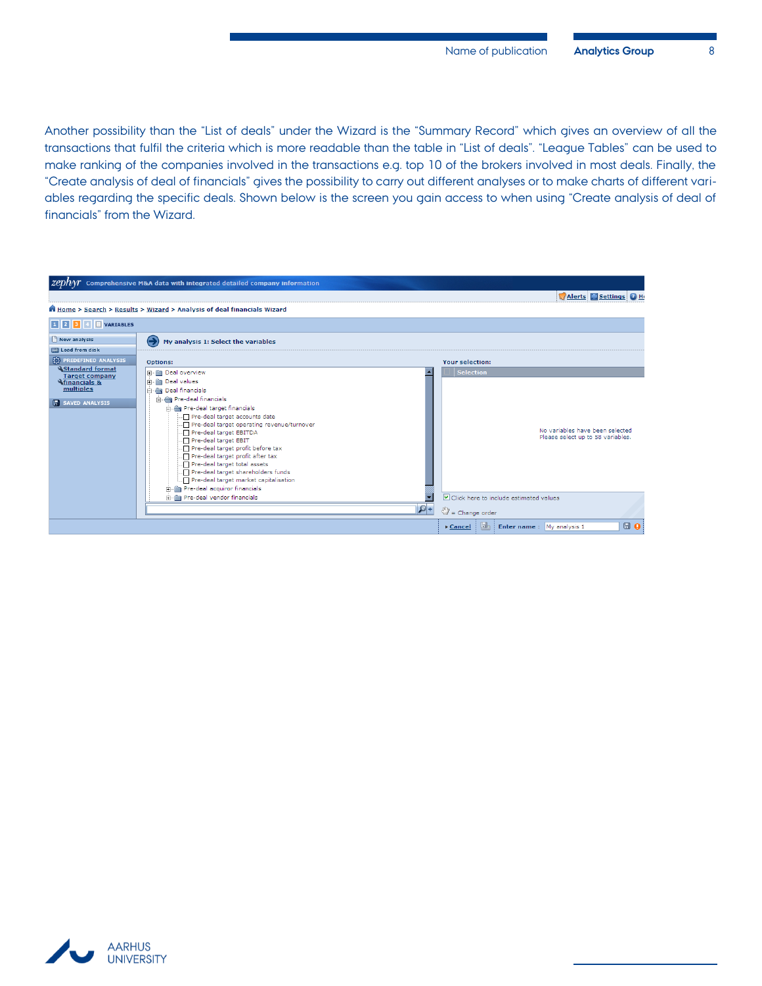Another possibility than the "List of deals" under the Wizard is the "Summary Record" which gives an overview of all the transactions that fulfil the criteria which is more readable than the table in "List of deals". "League Tables" can be used to make ranking of the companies involved in the transactions e.g. top 10 of the brokers involved in most deals. Finally, the "Create analysis of deal of financials" gives the possibility to carry out different analyses or to make charts of different variables regarding the specific deals. Shown below is the screen you gain access to when using "Create analysis of deal of financials" from the Wizard.



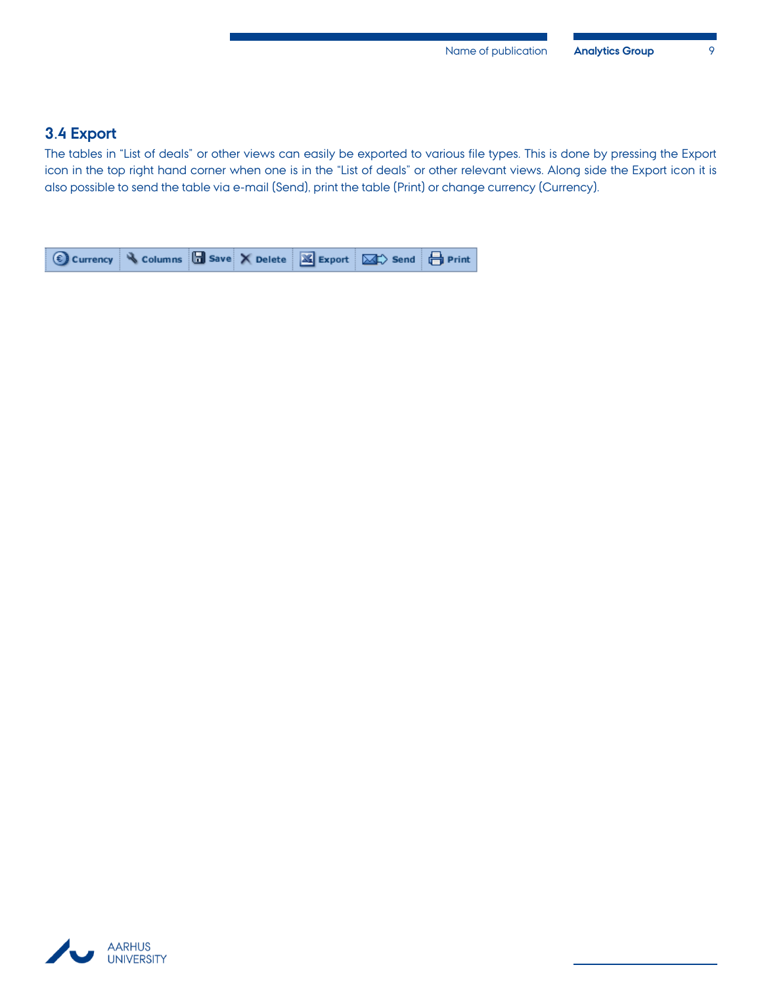#### <span id="page-10-0"></span>**3.4 Export**

The tables in "List of deals" or other views can easily be exported to various file types. This is done by pressing the Export icon in the top right hand corner when one is in the "List of deals" or other relevant views. Along side the Export icon it is also possible to send the table via e-mail (Send), print the table (Print) or change currency (Currency).



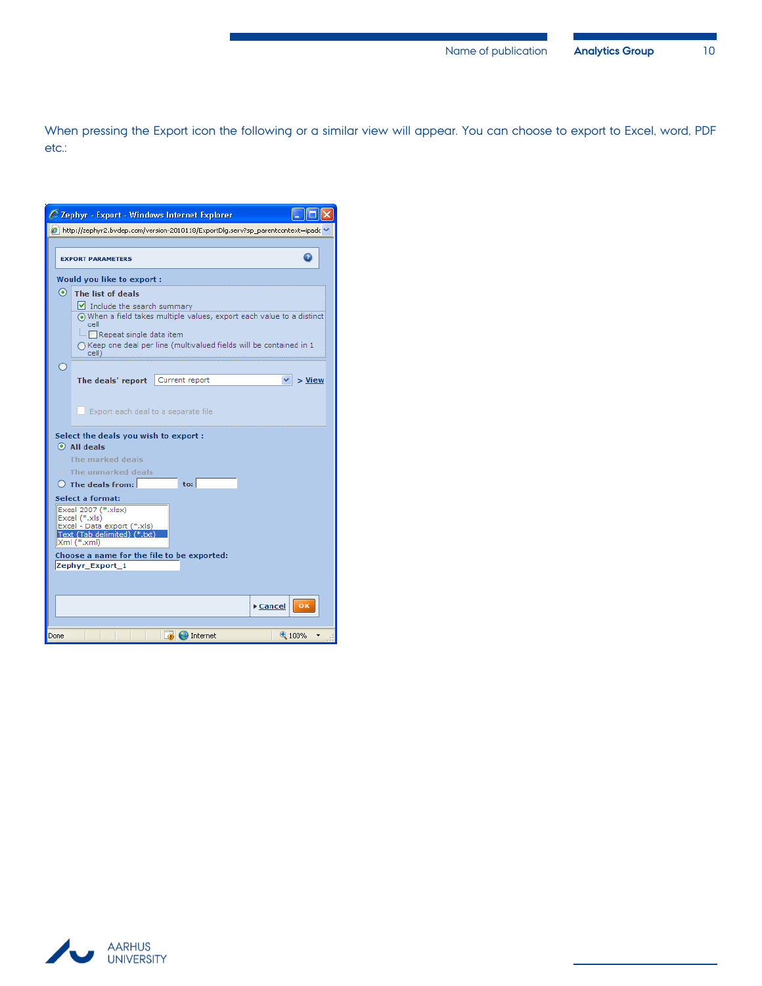When pressing the Export icon the following or a similar view will appear. You can choose to export to Excel, word, PDF etc.:

|      | C Zephyr - Export - Windows Internet Explorer                                                                      |                                                                                                                                                        |                |
|------|--------------------------------------------------------------------------------------------------------------------|--------------------------------------------------------------------------------------------------------------------------------------------------------|----------------|
|      |                                                                                                                    | $\boldsymbol{\beta}$ http://zephyr2.bydep.com/version-2010118/ExportDlq.serv?sp_parentcontext=ipadc *                                                  |                |
|      | <b>EXPORT PARAMETERS</b>                                                                                           |                                                                                                                                                        |                |
|      | Would you like to export:                                                                                          |                                                                                                                                                        |                |
|      | $\odot$ The list of deals<br>Iv Include the search summary<br>cell<br>Repeat single data item<br>cell)             | (6) When a field takes multiple values, export each value to a distinct<br>$\bigcap$ Keep one deal per line (multivalued fields will be contained in 1 |                |
|      | The deals' report                                                                                                  | Current report                                                                                                                                         | $>$ View       |
|      | Export each deal to a separate file                                                                                |                                                                                                                                                        |                |
|      | Select the deals you wish to export:<br>$\odot$ All deals                                                          |                                                                                                                                                        |                |
|      | The marked deals                                                                                                   |                                                                                                                                                        |                |
|      | The unmarked deals<br>$\bigcirc$ The deals from:                                                                   | to:                                                                                                                                                    |                |
|      | Select a format:                                                                                                   |                                                                                                                                                        |                |
|      | Excel 2007 (*.xlsx)<br>Excel (*.xls)<br>Excel - Data export (*.xls)<br>Text (Tab delimited) (*.txt)<br>Xml (*.xml) |                                                                                                                                                        |                |
|      | Choose a name for the file to be exported:<br>Zephyr_Export_1                                                      |                                                                                                                                                        |                |
|      |                                                                                                                    |                                                                                                                                                        | ▶ Cancel<br>OK |
| Done |                                                                                                                    | Internet                                                                                                                                               | 4100%          |

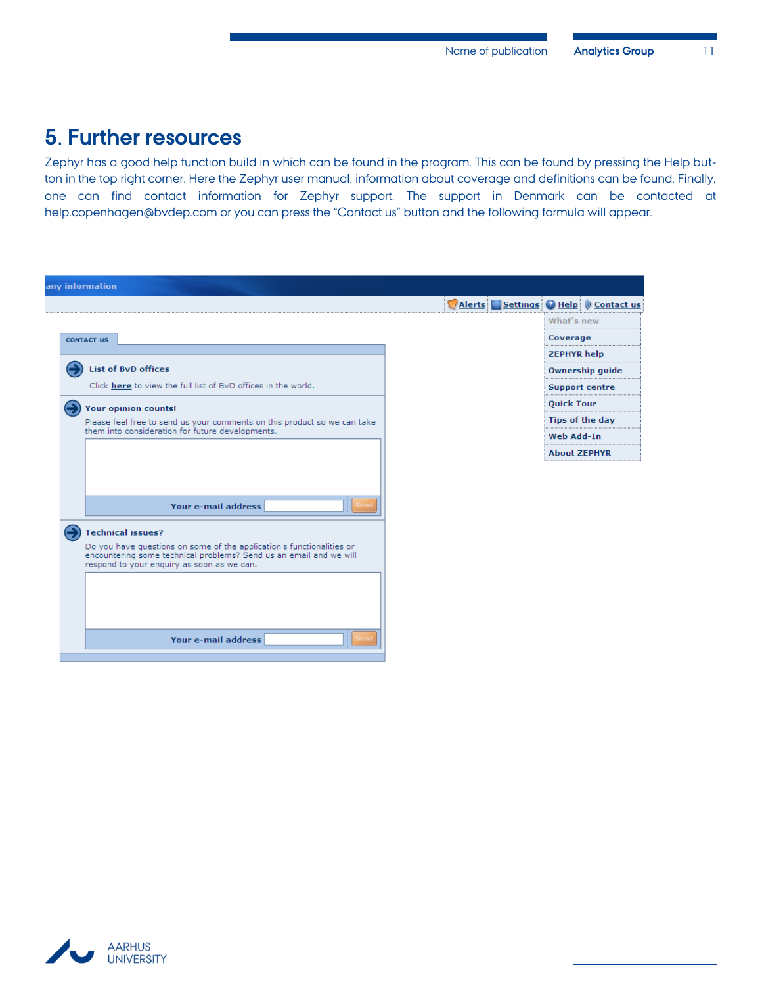## <span id="page-12-0"></span>**5. Further resources**

Zephyr has a good help function build in which can be found in the program. This can be found by pressing the Help button in the top right corner. Here the Zephyr user manual, information about coverage and definitions can be found. Finally, one can find contact information for Zephyr support. The support in Denmark can be contacted at [help.copenhagen@bvdep.com](mailto:help.copenhagen@bvdep.com) or you can press the "Contact us" button and the following formula will appear.

| Alerts Settings O Help ( Contact us |
|-------------------------------------|
| What's new                          |
| Coverage                            |
| <b>ZEPHYR help</b>                  |
| <b>Ownership guide</b>              |
| <b>Support centre</b>               |
| <b>Quick Tour</b>                   |
| Tips of the day                     |
| Web Add-In                          |
| <b>About ZEPHYR</b>                 |
|                                     |
|                                     |
|                                     |
|                                     |
|                                     |
|                                     |
|                                     |